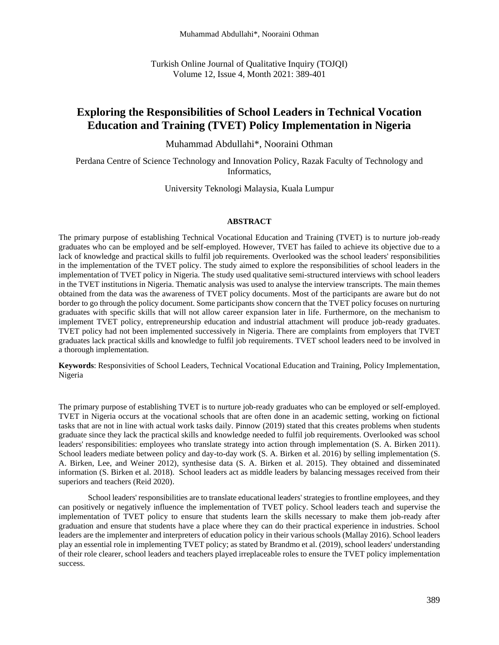Turkish Online Journal of Qualitative Inquiry (TOJQI) Volume 12, Issue 4, Month 2021: 389-401

# **Exploring the Responsibilities of School Leaders in Technical Vocation Education and Training (TVET) Policy Implementation in Nigeria**

Muhammad Abdullahi\*, Nooraini Othman

Perdana Centre of Science Technology and Innovation Policy, Razak Faculty of Technology and Informatics,

University Teknologi Malaysia, Kuala Lumpur

#### **ABSTRACT**

The primary purpose of establishing Technical Vocational Education and Training (TVET) is to nurture job-ready graduates who can be employed and be self-employed. However, TVET has failed to achieve its objective due to a lack of knowledge and practical skills to fulfil job requirements. Overlooked was the school leaders' responsibilities in the implementation of the TVET policy. The study aimed to explore the responsibilities of school leaders in the implementation of TVET policy in Nigeria. The study used qualitative semi-structured interviews with school leaders in the TVET institutions in Nigeria. Thematic analysis was used to analyse the interview transcripts. The main themes obtained from the data was the awareness of TVET policy documents. Most of the participants are aware but do not border to go through the policy document. Some participants show concern that the TVET policy focuses on nurturing graduates with specific skills that will not allow career expansion later in life. Furthermore, on the mechanism to implement TVET policy, entrepreneurship education and industrial attachment will produce job-ready graduates. TVET policy had not been implemented successively in Nigeria. There are complaints from employers that TVET graduates lack practical skills and knowledge to fulfil job requirements. TVET school leaders need to be involved in a thorough implementation.

**Keywords**: Responsivities of School Leaders, Technical Vocational Education and Training, Policy Implementation, Nigeria

The primary purpose of establishing TVET is to nurture job-ready graduates who can be employed or self-employed. TVET in Nigeria occurs at the vocational schools that are often done in an academic setting, working on fictional tasks that are not in line with actual work tasks daily. Pinnow (2019) stated that this creates problems when students graduate since they lack the practical skills and knowledge needed to fulfil job requirements. Overlooked was school leaders' responsibilities: employees who translate strategy into action through implementation (S. A. Birken 2011). School leaders mediate between policy and day-to-day work (S. A. Birken et al. 2016) by selling implementation (S. A. Birken, Lee, and Weiner 2012), synthesise data (S. A. Birken et al. 2015). They obtained and disseminated information (S. Birken et al. 2018). School leaders act as middle leaders by balancing messages received from their superiors and teachers (Reid 2020).

School leaders' responsibilities are to translate educational leaders' strategies to frontline employees, and they can positively or negatively influence the implementation of TVET policy. School leaders teach and supervise the implementation of TVET policy to ensure that students learn the skills necessary to make them job-ready after graduation and ensure that students have a place where they can do their practical experience in industries. School leaders are the implementer and interpreters of education policy in their various schools (Mallay 2016). School leaders play an essential role in implementing TVET policy; as stated by Brandmo et al. (2019), school leaders' understanding of their role clearer, school leaders and teachers played irreplaceable roles to ensure the TVET policy implementation success.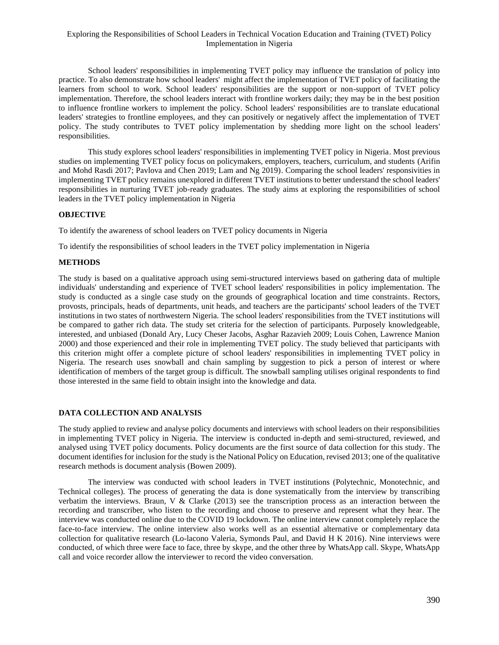School leaders' responsibilities in implementing TVET policy may influence the translation of policy into practice. To also demonstrate how school leaders' might affect the implementation of TVET policy of facilitating the learners from school to work. School leaders' responsibilities are the support or non-support of TVET policy implementation. Therefore, the school leaders interact with frontline workers daily; they may be in the best position to influence frontline workers to implement the policy. School leaders' responsibilities are to translate educational leaders' strategies to frontline employees, and they can positively or negatively affect the implementation of TVET policy. The study contributes to TVET policy implementation by shedding more light on the school leaders' responsibilities.

This study explores school leaders' responsibilities in implementing TVET policy in Nigeria. Most previous studies on implementing TVET policy focus on policymakers, employers, teachers, curriculum, and students (Arifin and Mohd Rasdi 2017; Pavlova and Chen 2019; Lam and Ng 2019). Comparing the school leaders' responsivities in implementing TVET policy remains unexplored in different TVET institutions to better understand the school leaders' responsibilities in nurturing TVET job-ready graduates. The study aims at exploring the responsibilities of school leaders in the TVET policy implementation in Nigeria

## **OBJECTIVE**

To identify the awareness of school leaders on TVET policy documents in Nigeria

To identify the responsibilities of school leaders in the TVET policy implementation in Nigeria

## **METHODS**

The study is based on a qualitative approach using semi-structured interviews based on gathering data of multiple individuals' understanding and experience of TVET school leaders' responsibilities in policy implementation. The study is conducted as a single case study on the grounds of geographical location and time constraints. Rectors, provosts, principals, heads of departments, unit heads, and teachers are the participants' school leaders of the TVET institutions in two states of northwestern Nigeria. The school leaders' responsibilities from the TVET institutions will be compared to gather rich data. The study set criteria for the selection of participants. Purposely knowledgeable, interested, and unbiased (Donald Ary, Lucy Cheser Jacobs, Asghar Razavieh 2009; Louis Cohen, Lawrence Manion 2000) and those experienced and their role in implementing TVET policy. The study believed that participants with this criterion might offer a complete picture of school leaders' responsibilities in implementing TVET policy in Nigeria. The research uses snowball and chain sampling by suggestion to pick a person of interest or where identification of members of the target group is difficult. The snowball sampling utilises original respondents to find those interested in the same field to obtain insight into the knowledge and data.

## **DATA COLLECTION AND ANALYSIS**

The study applied to review and analyse policy documents and interviews with school leaders on their responsibilities in implementing TVET policy in Nigeria. The interview is conducted in-depth and semi-structured, reviewed, and analysed using TVET policy documents. Policy documents are the first source of data collection for this study. The document identifies for inclusion for the study is the National Policy on Education, revised 2013; one of the qualitative research methods is document analysis (Bowen 2009).

The interview was conducted with school leaders in TVET institutions (Polytechnic, Monotechnic, and Technical colleges). The process of generating the data is done systematically from the interview by transcribing verbatim the interviews. Braun, V & Clarke (2013) see the transcription process as an interaction between the recording and transcriber, who listen to the recording and choose to preserve and represent what they hear. The interview was conducted online due to the COVID 19 lockdown. The online interview cannot completely replace the face-to-face interview. The online interview also works well as an essential alternative or complementary data collection for qualitative research (Lo-lacono Valeria, Symonds Paul, and David H K 2016). Nine interviews were conducted, of which three were face to face, three by skype, and the other three by WhatsApp call. Skype, WhatsApp call and voice recorder allow the interviewer to record the video conversation.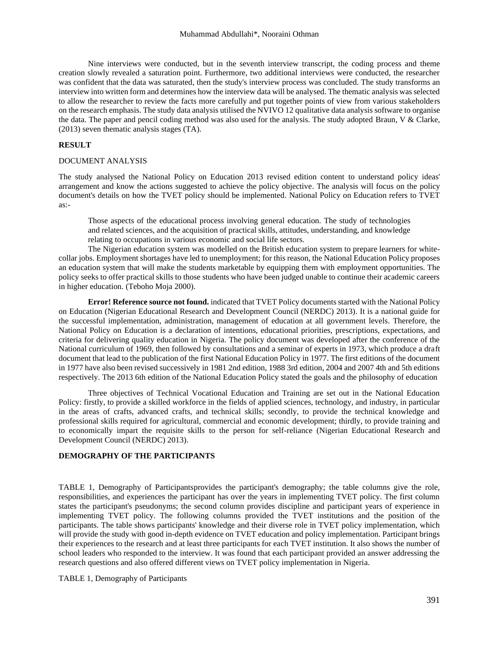Nine interviews were conducted, but in the seventh interview transcript, the coding process and theme creation slowly revealed a saturation point. Furthermore, two additional interviews were conducted, the researcher was confident that the data was saturated, then the study's interview process was concluded. The study transforms an interview into written form and determines how the interview data will be analysed. The thematic analysis was selected to allow the researcher to review the facts more carefully and put together points of view from various stakeholders on the research emphasis. The study data analysis utilised the NVIVO 12 qualitative data analysis software to organise the data. The paper and pencil coding method was also used for the analysis. The study adopted Braun, V & Clarke, (2013) seven thematic analysis stages (TA).

#### **RESULT**

#### DOCUMENT ANALYSIS

The study analysed the National Policy on Education 2013 revised edition content to understand policy ideas' arrangement and know the actions suggested to achieve the policy objective. The analysis will focus on the policy document's details on how the TVET policy should be implemented. National Policy on Education refers to TVET as:-

Those aspects of the educational process involving general education. The study of technologies and related sciences, and the acquisition of practical skills, attitudes, understanding, and knowledge relating to occupations in various economic and social life sectors.

The Nigerian education system was modelled on the British education system to prepare learners for whitecollar jobs. Employment shortages have led to unemployment; for this reason, the National Education Policy proposes an education system that will make the students marketable by equipping them with employment opportunities. The policy seeks to offer practical skills to those students who have been judged unable to continue their academic careers in higher education. (Teboho Moja 2000).

**Error! Reference source not found.** indicated that TVET Policy documents started with the National Policy on Education (Nigerian Educational Research and Development Council (NERDC) 2013). It is a national guide for the successful implementation, administration, management of education at all government levels. Therefore, the National Policy on Education is a declaration of intentions, educational priorities, prescriptions, expectations, and criteria for delivering quality education in Nigeria. The policy document was developed after the conference of the National curriculum of 1969, then followed by consultations and a seminar of experts in 1973, which produce a draft document that lead to the publication of the first National Education Policy in 1977. The first editions of the document in 1977 have also been revised successively in 1981 2nd edition, 1988 3rd edition, 2004 and 2007 4th and 5th editions respectively. The 2013 6th edition of the National Education Policy stated the goals and the philosophy of education

Three objectives of Technical Vocational Education and Training are set out in the National Education Policy: firstly, to provide a skilled workforce in the fields of applied sciences, technology, and industry, in particular in the areas of crafts, advanced crafts, and technical skills; secondly, to provide the technical knowledge and professional skills required for agricultural, commercial and economic development; thirdly, to provide training and to economically impart the requisite skills to the person for self-reliance (Nigerian Educational Research and Development Council (NERDC) 2013).

### **DEMOGRAPHY OF THE PARTICIPANTS**

TABLE 1, [Demography of Participantsp](#page-2-0)rovides the participant's demography; the table columns give the role, responsibilities, and experiences the participant has over the years in implementing TVET policy. The first column states the participant's pseudonyms; the second column provides discipline and participant years of experience in implementing TVET policy. The following columns provided the TVET institutions and the position of the participants. The table shows participants' knowledge and their diverse role in TVET policy implementation, which will provide the study with good in-depth evidence on TVET education and policy implementation. Participant brings their experiences to the research and at least three participants for each TVET institution. It also shows the number of school leaders who responded to the interview. It was found that each participant provided an answer addressing the research questions and also offered different views on TVET policy implementation in Nigeria.

<span id="page-2-0"></span>TABLE 1, Demography of Participants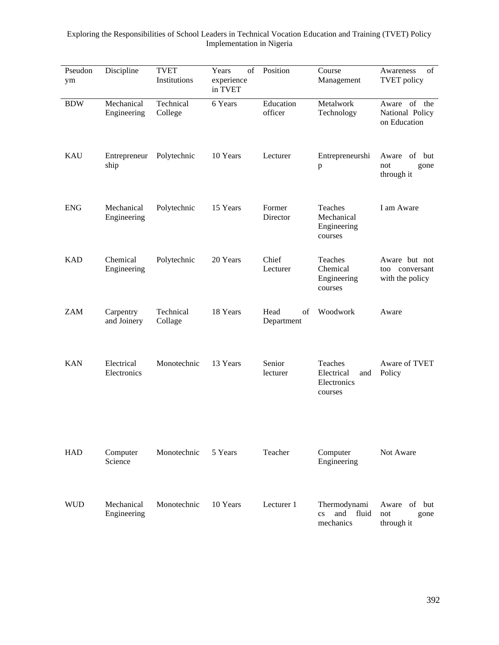| Pseudon<br>ym | Discipline                | <b>TVET</b><br>Institutions | of<br>Years<br>experience<br>in TVET | Position                 | Course<br>Management                                                | of<br>Awareness<br><b>TVET</b> policy              |
|---------------|---------------------------|-----------------------------|--------------------------------------|--------------------------|---------------------------------------------------------------------|----------------------------------------------------|
| <b>BDW</b>    | Mechanical<br>Engineering | Technical<br>College        | 6 Years                              | Education<br>officer     | Metalwork<br>Technology                                             | Aware of the<br>National Policy<br>on Education    |
| <b>KAU</b>    | Entrepreneur<br>ship      | Polytechnic                 | 10 Years                             | Lecturer                 | Entrepreneurshi<br>$\, {\bf p}$                                     | Aware of but<br>not<br>gone<br>through it          |
| <b>ENG</b>    | Mechanical<br>Engineering | Polytechnic                 | 15 Years                             | Former<br>Director       | Teaches<br>Mechanical<br>Engineering<br>courses                     | I am Aware                                         |
| <b>KAD</b>    | Chemical<br>Engineering   | Polytechnic                 | 20 Years                             | Chief<br>Lecturer        | Teaches<br>Chemical<br>Engineering<br>courses                       | Aware but not<br>too conversant<br>with the policy |
| <b>ZAM</b>    | Carpentry<br>and Joinery  | Technical<br>Collage        | 18 Years                             | Head<br>of<br>Department | Woodwork                                                            | Aware                                              |
| <b>KAN</b>    | Electrical<br>Electronics | Monotechnic                 | 13 Years                             | Senior<br>lecturer       | Teaches<br>Electrical<br>and<br>Electronics<br>courses              | Aware of TVET<br>Policy                            |
| <b>HAD</b>    | Computer<br>Science       | Monotechnic                 | 5 Years                              | Teacher                  | Computer<br>Engineering                                             | Not Aware                                          |
| <b>WUD</b>    | Mechanical<br>Engineering | Monotechnic                 | 10 Years                             | Lecturer 1               | Thermodynami<br>and<br>fluid<br>$\overline{\text{cs}}$<br>mechanics | of but<br>Aware<br>not<br>gone<br>through it       |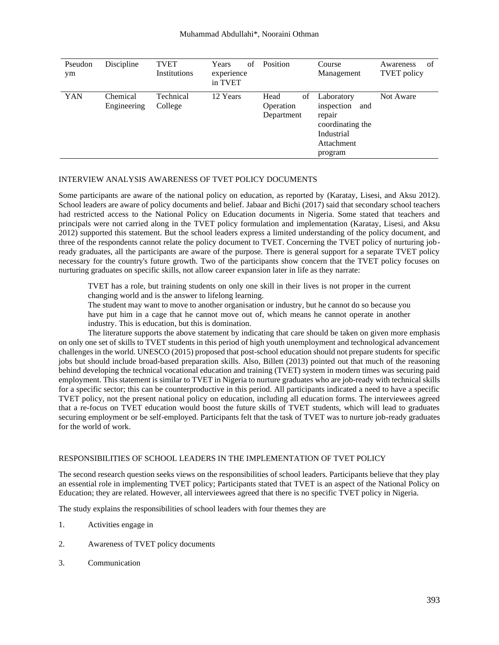| Pseudon<br>ym | Discipline              | <b>TVET</b><br>Institutions | of<br>Years<br>experience<br>in TVET | Position                              | Course<br>Management                                                                                 | Awareness<br>of<br><b>TVET</b> policy |
|---------------|-------------------------|-----------------------------|--------------------------------------|---------------------------------------|------------------------------------------------------------------------------------------------------|---------------------------------------|
| YAN           | Chemical<br>Engineering | Technical<br>College        | 12 Years                             | Head<br>οf<br>Operation<br>Department | Laboratory<br>inspection<br>and<br>repair<br>coordinating the<br>Industrial<br>Attachment<br>program | Not Aware                             |

### INTERVIEW ANALYSIS AWARENESS OF TVET POLICY DOCUMENTS

Some participants are aware of the national policy on education, as reported by (Karatay, Lisesi, and Aksu 2012). School leaders are aware of policy documents and belief. Jabaar and Bichi (2017) said that secondary school teachers had restricted access to the National Policy on Education documents in Nigeria. Some stated that teachers and principals were not carried along in the TVET policy formulation and implementation (Karatay, Lisesi, and Aksu 2012) supported this statement. But the school leaders express a limited understanding of the policy document, and three of the respondents cannot relate the policy document to TVET. Concerning the TVET policy of nurturing jobready graduates, all the participants are aware of the purpose. There is general support for a separate TVET policy necessary for the country's future growth. Two of the participants show concern that the TVET policy focuses on nurturing graduates on specific skills, not allow career expansion later in life as they narrate:

TVET has a role, but training students on only one skill in their lives is not proper in the current changing world and is the answer to lifelong learning.

The student may want to move to another organisation or industry, but he cannot do so because you have put him in a cage that he cannot move out of, which means he cannot operate in another industry. This is education, but this is domination.

The literature supports the above statement by indicating that care should be taken on given more emphasis on only one set of skills to TVET students in this period of high youth unemployment and technological advancement challenges in the world. UNESCO (2015) proposed that post-school education should not prepare students for specific jobs but should include broad-based preparation skills. Also, Billett (2013) pointed out that much of the reasoning behind developing the technical vocational education and training (TVET) system in modern times was securing paid employment. This statement is similar to TVET in Nigeria to nurture graduates who are job-ready with technical skills for a specific sector; this can be counterproductive in this period. All participants indicated a need to have a specific TVET policy, not the present national policy on education, including all education forms. The interviewees agreed that a re-focus on TVET education would boost the future skills of TVET students, which will lead to graduates securing employment or be self-employed. Participants felt that the task of TVET was to nurture job-ready graduates for the world of work.

#### RESPONSIBILITIES OF SCHOOL LEADERS IN THE IMPLEMENTATION OF TVET POLICY

The second research question seeks views on the responsibilities of school leaders. Participants believe that they play an essential role in implementing TVET policy; Participants stated that TVET is an aspect of the National Policy on Education; they are related. However, all interviewees agreed that there is no specific TVET policy in Nigeria.

The study explains the responsibilities of school leaders with four themes they are

- 1. Activities engage in
- 2. Awareness of TVET policy documents
- 3. Communication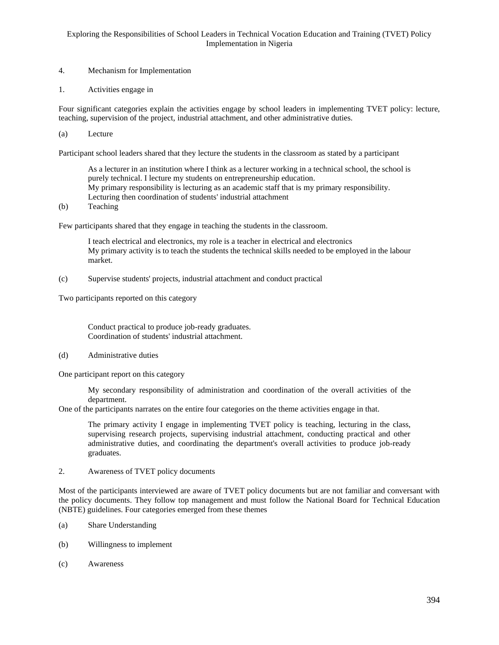- 4. Mechanism for Implementation
- 1. Activities engage in

Four significant categories explain the activities engage by school leaders in implementing TVET policy: lecture, teaching, supervision of the project, industrial attachment, and other administrative duties.

(a) Lecture

Participant school leaders shared that they lecture the students in the classroom as stated by a participant

As a lecturer in an institution where I think as a lecturer working in a technical school, the school is purely technical. I lecture my students on entrepreneurship education. My primary responsibility is lecturing as an academic staff that is my primary responsibility. Lecturing then coordination of students' industrial attachment

(b) Teaching

Few participants shared that they engage in teaching the students in the classroom.

I teach electrical and electronics, my role is a teacher in electrical and electronics My primary activity is to teach the students the technical skills needed to be employed in the labour market.

(c) Supervise students' projects, industrial attachment and conduct practical

Two participants reported on this category

Conduct practical to produce job-ready graduates. Coordination of students' industrial attachment.

(d) Administrative duties

One participant report on this category

My secondary responsibility of administration and coordination of the overall activities of the department.

One of the participants narrates on the entire four categories on the theme activities engage in that.

The primary activity I engage in implementing TVET policy is teaching, lecturing in the class, supervising research projects, supervising industrial attachment, conducting practical and other administrative duties, and coordinating the department's overall activities to produce job-ready graduates.

2. Awareness of TVET policy documents

Most of the participants interviewed are aware of TVET policy documents but are not familiar and conversant with the policy documents. They follow top management and must follow the National Board for Technical Education (NBTE) guidelines. Four categories emerged from these themes

- (a) Share Understanding
- (b) Willingness to implement
- (c) Awareness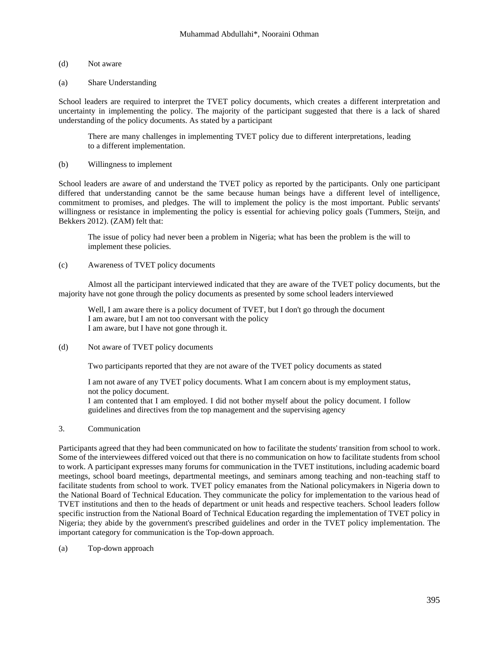## (d) Not aware

## (a) Share Understanding

School leaders are required to interpret the TVET policy documents, which creates a different interpretation and uncertainty in implementing the policy. The majority of the participant suggested that there is a lack of shared understanding of the policy documents. As stated by a participant

There are many challenges in implementing TVET policy due to different interpretations, leading to a different implementation.

## (b) Willingness to implement

School leaders are aware of and understand the TVET policy as reported by the participants. Only one participant differed that understanding cannot be the same because human beings have a different level of intelligence, commitment to promises, and pledges. The will to implement the policy is the most important. Public servants' willingness or resistance in implementing the policy is essential for achieving policy goals (Tummers, Steijn, and Bekkers 2012). (ZAM) felt that:

The issue of policy had never been a problem in Nigeria; what has been the problem is the will to implement these policies.

## (c) Awareness of TVET policy documents

Almost all the participant interviewed indicated that they are aware of the TVET policy documents, but the majority have not gone through the policy documents as presented by some school leaders interviewed

Well, I am aware there is a policy document of TVET, but I don't go through the document I am aware, but I am not too conversant with the policy I am aware, but I have not gone through it.

(d) Not aware of TVET policy documents

Two participants reported that they are not aware of the TVET policy documents as stated

I am not aware of any TVET policy documents. What I am concern about is my employment status, not the policy document.

I am contented that I am employed. I did not bother myself about the policy document. I follow guidelines and directives from the top management and the supervising agency

## 3. Communication

Participants agreed that they had been communicated on how to facilitate the students' transition from school to work. Some of the interviewees differed voiced out that there is no communication on how to facilitate students from school to work. A participant expresses many forums for communication in the TVET institutions, including academic board meetings, school board meetings, departmental meetings, and seminars among teaching and non-teaching staff to facilitate students from school to work. TVET policy emanates from the National policymakers in Nigeria down to the National Board of Technical Education. They communicate the policy for implementation to the various head of TVET institutions and then to the heads of department or unit heads and respective teachers. School leaders follow specific instruction from the National Board of Technical Education regarding the implementation of TVET policy in Nigeria; they abide by the government's prescribed guidelines and order in the TVET policy implementation. The important category for communication is the Top-down approach.

(a) Top-down approach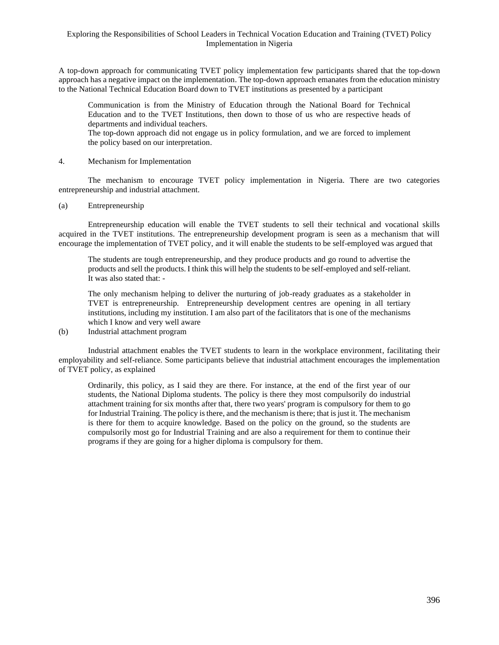A top-down approach for communicating TVET policy implementation few participants shared that the top-down approach has a negative impact on the implementation. The top-down approach emanates from the education ministry to the National Technical Education Board down to TVET institutions as presented by a participant

Communication is from the Ministry of Education through the National Board for Technical Education and to the TVET Institutions, then down to those of us who are respective heads of departments and individual teachers.

The top-down approach did not engage us in policy formulation, and we are forced to implement the policy based on our interpretation.

#### 4. Mechanism for Implementation

The mechanism to encourage TVET policy implementation in Nigeria. There are two categories entrepreneurship and industrial attachment.

#### (a) Entrepreneurship

Entrepreneurship education will enable the TVET students to sell their technical and vocational skills acquired in the TVET institutions. The entrepreneurship development program is seen as a mechanism that will encourage the implementation of TVET policy, and it will enable the students to be self-employed was argued that

The students are tough entrepreneurship, and they produce products and go round to advertise the products and sell the products. I think this will help the students to be self-employed and self-reliant. It was also stated that: -

The only mechanism helping to deliver the nurturing of job-ready graduates as a stakeholder in TVET is entrepreneurship. Entrepreneurship development centres are opening in all tertiary institutions, including my institution. I am also part of the facilitators that is one of the mechanisms which I know and very well aware

(b) Industrial attachment program

Industrial attachment enables the TVET students to learn in the workplace environment, facilitating their employability and self-reliance. Some participants believe that industrial attachment encourages the implementation of TVET policy, as explained

Ordinarily, this policy, as I said they are there. For instance, at the end of the first year of our students, the National Diploma students. The policy is there they most compulsorily do industrial attachment training for six months after that, there two years' program is compulsory for them to go for Industrial Training. The policy is there, and the mechanism is there; that is just it. The mechanism is there for them to acquire knowledge. Based on the policy on the ground, so the students are compulsorily most go for Industrial Training and are also a requirement for them to continue their programs if they are going for a higher diploma is compulsory for them.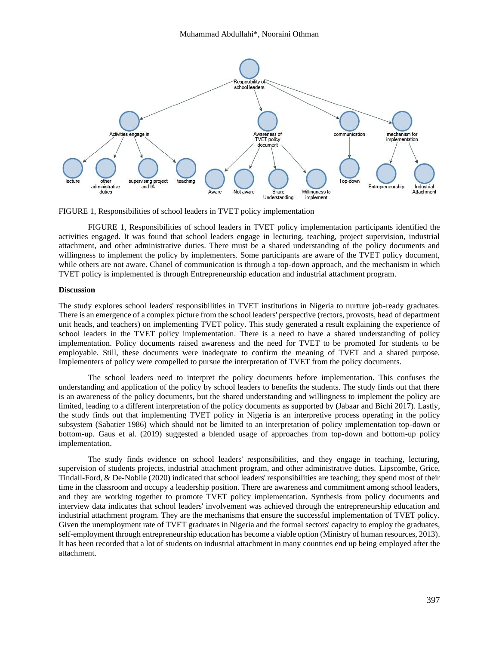

<span id="page-8-0"></span>FIGURE 1, Responsibilities of school leaders in TVET policy implementation

FIGURE 1, [Responsibilities of school leaders in TVET policy implementation](#page-8-0) participants identified the activities engaged. It was found that school leaders engage in lecturing, teaching, project supervision, industrial attachment, and other administrative duties. There must be a shared understanding of the policy documents and willingness to implement the policy by implementers. Some participants are aware of the TVET policy document, while others are not aware. Chanel of communication is through a top-down approach, and the mechanism in which TVET policy is implemented is through Entrepreneurship education and industrial attachment program.

#### **Discussion**

The study explores school leaders' responsibilities in TVET institutions in Nigeria to nurture job-ready graduates. There is an emergence of a complex picture from the school leaders' perspective (rectors, provosts, head of department unit heads, and teachers) on implementing TVET policy. This study generated a result explaining the experience of school leaders in the TVET policy implementation. There is a need to have a shared understanding of policy implementation. Policy documents raised awareness and the need for TVET to be promoted for students to be employable. Still, these documents were inadequate to confirm the meaning of TVET and a shared purpose. Implementers of policy were compelled to pursue the interpretation of TVET from the policy documents.

The school leaders need to interpret the policy documents before implementation. This confuses the understanding and application of the policy by school leaders to benefits the students. The study finds out that there is an awareness of the policy documents, but the shared understanding and willingness to implement the policy are limited, leading to a different interpretation of the policy documents as supported by (Jabaar and Bichi 2017). Lastly, the study finds out that implementing TVET policy in Nigeria is an interpretive process operating in the policy subsystem (Sabatier 1986) which should not be limited to an interpretation of policy implementation top-down or bottom-up. Gaus et al. (2019) suggested a blended usage of approaches from top-down and bottom-up policy implementation.

The study finds evidence on school leaders' responsibilities, and they engage in teaching, lecturing, supervision of students projects, industrial attachment program, and other administrative duties. Lipscombe, Grice, Tindall-Ford, & De-Nobile (2020) indicated that school leaders' responsibilities are teaching; they spend most of their time in the classroom and occupy a leadership position. There are awareness and commitment among school leaders, and they are working together to promote TVET policy implementation. Synthesis from policy documents and interview data indicates that school leaders' involvement was achieved through the entrepreneurship education and industrial attachment program. They are the mechanisms that ensure the successful implementation of TVET policy. Given the unemployment rate of TVET graduates in Nigeria and the formal sectors' capacity to employ the graduates, self-employment through entrepreneurship education has become a viable option (Ministry of human resources, 2013). It has been recorded that a lot of students on industrial attachment in many countries end up being employed after the attachment.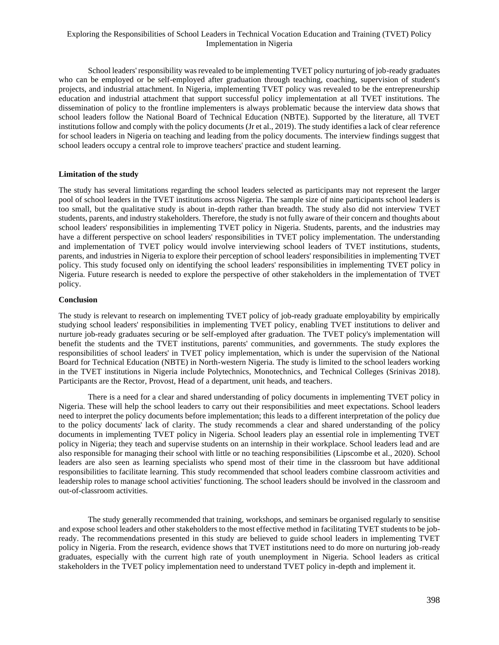School leaders' responsibility was revealed to be implementing TVET policy nurturing of job-ready graduates who can be employed or be self-employed after graduation through teaching, coaching, supervision of student's projects, and industrial attachment. In Nigeria, implementing TVET policy was revealed to be the entrepreneurship education and industrial attachment that support successful policy implementation at all TVET institutions. The dissemination of policy to the frontline implementers is always problematic because the interview data shows that school leaders follow the National Board of Technical Education (NBTE). Supported by the literature, all TVET institutions follow and comply with the policy documents (Jr et al., 2019). The study identifies a lack of clear reference for school leaders in Nigeria on teaching and leading from the policy documents. The interview findings suggest that school leaders occupy a central role to improve teachers' practice and student learning.

## **Limitation of the study**

The study has several limitations regarding the school leaders selected as participants may not represent the larger pool of school leaders in the TVET institutions across Nigeria. The sample size of nine participants school leaders is too small, but the qualitative study is about in-depth rather than breadth. The study also did not interview TVET students, parents, and industry stakeholders. Therefore, the study is not fully aware of their concern and thoughts about school leaders' responsibilities in implementing TVET policy in Nigeria. Students, parents, and the industries may have a different perspective on school leaders' responsibilities in TVET policy implementation. The understanding and implementation of TVET policy would involve interviewing school leaders of TVET institutions, students, parents, and industries in Nigeria to explore their perception of school leaders' responsibilities in implementing TVET policy. This study focused only on identifying the school leaders' responsibilities in implementing TVET policy in Nigeria. Future research is needed to explore the perspective of other stakeholders in the implementation of TVET policy.

## **Conclusion**

The study is relevant to research on implementing TVET policy of job-ready graduate employability by empirically studying school leaders' responsibilities in implementing TVET policy, enabling TVET institutions to deliver and nurture job-ready graduates securing or be self-employed after graduation. The TVET policy's implementation will benefit the students and the TVET institutions, parents' communities, and governments. The study explores the responsibilities of school leaders' in TVET policy implementation, which is under the supervision of the National Board for Technical Education (NBTE) in North-western Nigeria. The study is limited to the school leaders working in the TVET institutions in Nigeria include Polytechnics, Monotechnics, and Technical Colleges (Srinivas 2018). Participants are the Rector, Provost, Head of a department, unit heads, and teachers.

There is a need for a clear and shared understanding of policy documents in implementing TVET policy in Nigeria. These will help the school leaders to carry out their responsibilities and meet expectations. School leaders need to interpret the policy documents before implementation; this leads to a different interpretation of the policy due to the policy documents' lack of clarity. The study recommends a clear and shared understanding of the policy documents in implementing TVET policy in Nigeria. School leaders play an essential role in implementing TVET policy in Nigeria; they teach and supervise students on an internship in their workplace. School leaders lead and are also responsible for managing their school with little or no teaching responsibilities (Lipscombe et al., 2020). School leaders are also seen as learning specialists who spend most of their time in the classroom but have additional responsibilities to facilitate learning. This study recommended that school leaders combine classroom activities and leadership roles to manage school activities' functioning. The school leaders should be involved in the classroom and out-of-classroom activities.

The study generally recommended that training, workshops, and seminars be organised regularly to sensitise and expose school leaders and other stakeholders to the most effective method in facilitating TVET students to be jobready. The recommendations presented in this study are believed to guide school leaders in implementing TVET policy in Nigeria. From the research, evidence shows that TVET institutions need to do more on nurturing job-ready graduates, especially with the current high rate of youth unemployment in Nigeria. School leaders as critical stakeholders in the TVET policy implementation need to understand TVET policy in-depth and implement it.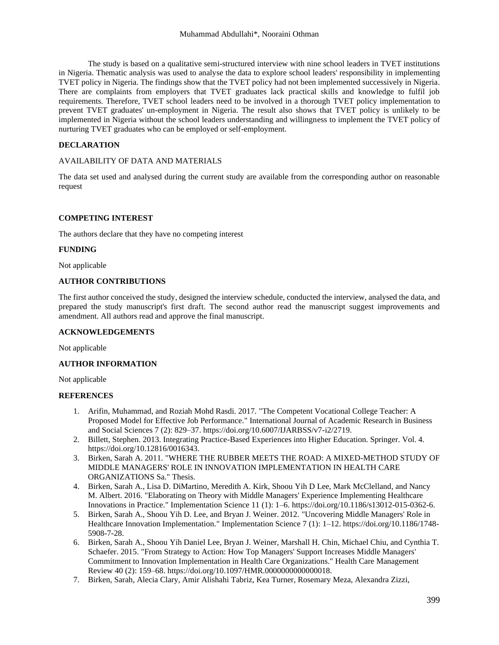The study is based on a qualitative semi-structured interview with nine school leaders in TVET institutions in Nigeria. Thematic analysis was used to analyse the data to explore school leaders' responsibility in implementing TVET policy in Nigeria. The findings show that the TVET policy had not been implemented successively in Nigeria. There are complaints from employers that TVET graduates lack practical skills and knowledge to fulfil job requirements. Therefore, TVET school leaders need to be involved in a thorough TVET policy implementation to prevent TVET graduates' un-employment in Nigeria. The result also shows that TVET policy is unlikely to be implemented in Nigeria without the school leaders understanding and willingness to implement the TVET policy of nurturing TVET graduates who can be employed or self-employment.

## **DECLARATION**

## AVAILABILITY OF DATA AND MATERIALS

The data set used and analysed during the current study are available from the corresponding author on reasonable request

## **COMPETING INTEREST**

The authors declare that they have no competing interest

#### **FUNDING**

Not applicable

#### **AUTHOR CONTRIBUTIONS**

The first author conceived the study, designed the interview schedule, conducted the interview, analysed the data, and prepared the study manuscript's first draft. The second author read the manuscript suggest improvements and amendment. All authors read and approve the final manuscript.

#### **ACKNOWLEDGEMENTS**

Not applicable

#### **AUTHOR INFORMATION**

Not applicable

#### **REFERENCES**

- 1. Arifin, Muhammad, and Roziah Mohd Rasdi. 2017. "The Competent Vocational College Teacher: A Proposed Model for Effective Job Performance." International Journal of Academic Research in Business and Social Sciences 7 (2): 829–37. https://doi.org/10.6007/IJARBSS/v7-i2/2719.
- 2. Billett, Stephen. 2013. Integrating Practice-Based Experiences into Higher Education. Springer. Vol. 4. https://doi.org/10.12816/0016343.
- 3. Birken, Sarah A. 2011. "WHERE THE RUBBER MEETS THE ROAD: A MIXED-METHOD STUDY OF MIDDLE MANAGERS' ROLE IN INNOVATION IMPLEMENTATION IN HEALTH CARE ORGANIZATIONS Sa." Thesis.
- 4. Birken, Sarah A., Lisa D. DiMartino, Meredith A. Kirk, Shoou Yih D Lee, Mark McClelland, and Nancy M. Albert. 2016. "Elaborating on Theory with Middle Managers' Experience Implementing Healthcare Innovations in Practice." Implementation Science 11 (1): 1–6. https://doi.org/10.1186/s13012-015-0362-6.
- 5. Birken, Sarah A., Shoou Yih D. Lee, and Bryan J. Weiner. 2012. "Uncovering Middle Managers' Role in Healthcare Innovation Implementation." Implementation Science 7 (1): 1-12. https://doi.org/10.1186/1748-5908-7-28.
- 6. Birken, Sarah A., Shoou Yih Daniel Lee, Bryan J. Weiner, Marshall H. Chin, Michael Chiu, and Cynthia T. Schaefer. 2015. "From Strategy to Action: How Top Managers' Support Increases Middle Managers' Commitment to Innovation Implementation in Health Care Organizations." Health Care Management Review 40 (2): 159–68. https://doi.org/10.1097/HMR.0000000000000018.
- 7. Birken, Sarah, Alecia Clary, Amir Alishahi Tabriz, Kea Turner, Rosemary Meza, Alexandra Zizzi,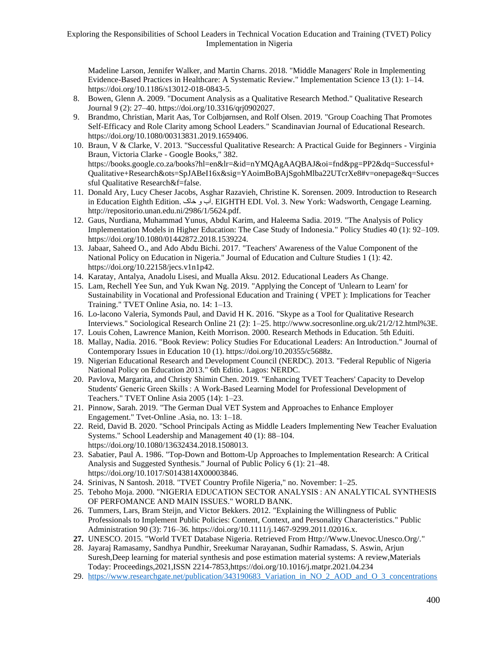Madeline Larson, Jennifer Walker, and Martin Charns. 2018. "Middle Managers' Role in Implementing Evidence-Based Practices in Healthcare: A Systematic Review." Implementation Science 13 (1): 1–14. https://doi.org/10.1186/s13012-018-0843-5.

- 8. Bowen, Glenn A. 2009. "Document Analysis as a Qualitative Research Method." Qualitative Research Journal 9 (2): 27–40. https://doi.org/10.3316/qrj0902027.
- 9. Brandmo, Christian, Marit Aas, Tor Colbjørnsen, and Rolf Olsen. 2019. "Group Coaching That Promotes Self-Efficacy and Role Clarity among School Leaders." Scandinavian Journal of Educational Research. https://doi.org/10.1080/00313831.2019.1659406.
- 10. Braun, V & Clarke, V. 2013. "Successful Qualitative Research: A Practical Guide for Beginners Virginia Braun, Victoria Clarke - Google Books," 382. https://books.google.co.za/books?hl=en&lr=&id=nYMQAgAAQBAJ&oi=fnd&pg=PP2&dq=Successful+ Qualitative+Research&ots=SpJABeI16x&sig=YAoimBoBAjSgohMlba22UTcrXe8#v=onepage&q=Succes sful Qualitative Research&f=false.
- 11. Donald Ary, Lucy Cheser Jacobs, Asghar Razavieh, Christine K. Sorensen. 2009. Introduction to Research in Education Eighth Edition. خاک و آب. EIGHTH EDI. Vol. 3. New York: Wadsworth, Cengage Learning. http://repositorio.unan.edu.ni/2986/1/5624.pdf.
- 12. Gaus, Nurdiana, Muhammad Yunus, Abdul Karim, and Haleema Sadia. 2019. "The Analysis of Policy Implementation Models in Higher Education: The Case Study of Indonesia." Policy Studies 40 (1): 92–109. https://doi.org/10.1080/01442872.2018.1539224.
- 13. Jabaar, Saheed O., and Ado Abdu Bichi. 2017. "Teachers' Awareness of the Value Component of the National Policy on Education in Nigeria." Journal of Education and Culture Studies 1 (1): 42. https://doi.org/10.22158/jecs.v1n1p42.
- 14. Karatay, Antalya, Anadolu Lisesi, and Mualla Aksu. 2012. Educational Leaders As Change.
- 15. Lam, Rechell Yee Sun, and Yuk Kwan Ng. 2019. "Applying the Concept of 'Unlearn to Learn' for Sustainability in Vocational and Professional Education and Training ( VPET ): Implications for Teacher Training." TVET Online Asia, no. 14: 1–13.
- 16. Lo-lacono Valeria, Symonds Paul, and David H K. 2016. "Skype as a Tool for Qualitative Research Interviews." Sociological Research Online 21 (2): 1–25. http://www.socresonline.org.uk/21/2/12.html%3E.
- 17. Louis Cohen, Lawrence Manion, Keith Morrison. 2000. Research Methods in Education. 5th Eduiti.
- 18. Mallay, Nadia. 2016. "Book Review: Policy Studies For Educational Leaders: An Introduction." Journal of Contemporary Issues in Education 10 (1). https://doi.org/10.20355/c5688z.
- 19. Nigerian Educational Research and Development Council (NERDC). 2013. "Federal Republic of Nigeria National Policy on Education 2013." 6th Editio. Lagos: NERDC.
- 20. Pavlova, Margarita, and Christy Shimin Chen. 2019. "Enhancing TVET Teachers' Capacity to Develop Students' Generic Green Skills : A Work-Based Learning Model for Professional Development of Teachers." TVET Online Asia 2005 (14): 1–23.
- 21. Pinnow, Sarah. 2019. "The German Dual VET System and Approaches to Enhance Employer Engagement." Tvet-Online .Asia, no. 13: 1–18.
- 22. Reid, David B. 2020. "School Principals Acting as Middle Leaders Implementing New Teacher Evaluation Systems." School Leadership and Management 40 (1): 88–104. https://doi.org/10.1080/13632434.2018.1508013.
- 23. Sabatier, Paul A. 1986. "Top-Down and Bottom-Up Approaches to Implementation Research: A Critical Analysis and Suggested Synthesis." Journal of Public Policy 6 (1): 21–48. https://doi.org/10.1017/S0143814X00003846.
- 24. Srinivas, N Santosh. 2018. "TVET Country Profile Nigeria," no. November: 1–25.
- 25. Teboho Moja. 2000. "NIGERIA EDUCATION SECTOR ANALYSIS : AN ANALYTICAL SYNTHESIS OF PERFOMANCE AND MAIN ISSUES." WORLD BANK.
- 26. Tummers, Lars, Bram Steijn, and Victor Bekkers. 2012. "Explaining the Willingness of Public Professionals to Implement Public Policies: Content, Context, and Personality Characteristics." Public Administration 90 (3): 716–36. https://doi.org/10.1111/j.1467-9299.2011.02016.x.
- **27.** UNESCO. 2015. "World TVET Database Nigeria. Retrieved From Http://Www.Unevoc.Unesco.Org/."
- 28. Jayaraj Ramasamy, Sandhya Pundhir, Sreekumar Narayanan, Sudhir Ramadass, S. Aswin, Arjun Suresh,Deep learning for material synthesis and pose estimation material systems: A review,Materials Today: Proceedings,2021,ISSN 2214-7853,https://doi.org/10.1016/j.matpr.2021.04.234
- 29. https://www.researchgate.net/publication/343190683 Variation in NO 2 AOD and O 3 concentrations